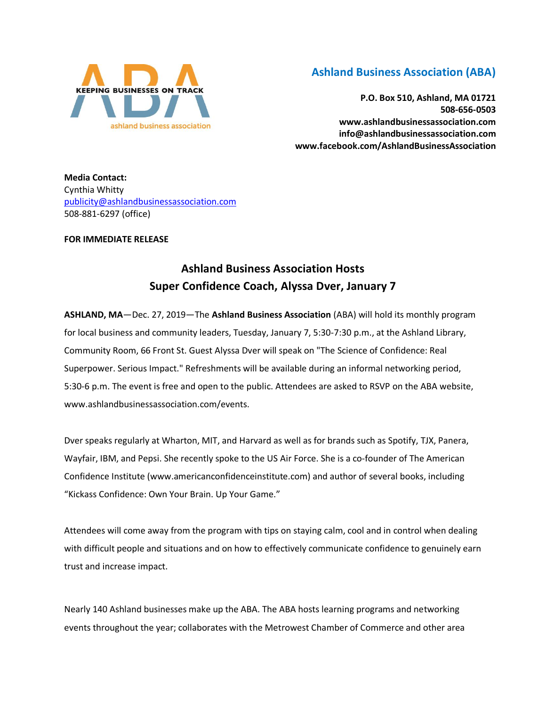

## **Ashland Business Association (ABA)**

**P.O. Box 510, Ashland, MA 01721 508-656-0503 www.ashlandbusinessassociation.com info@ashlandbusinessassociation.com www.facebook.com/AshlandBusinessAssociation**

**Media Contact:** Cynthia Whitty [publicity@ashlandbusinessassociation.com](mailto:publicity@ashlandbusinessassociation.com) 508-881-6297 (office)

## **FOR IMMEDIATE RELEASE**

## **Ashland Business Association Hosts Super Confidence Coach, Alyssa Dver, January 7**

**ASHLAND, MA**—Dec. 27, 2019—The **Ashland Business Association** (ABA) will hold its monthly program for local business and community leaders, Tuesday, January 7, 5:30-7:30 p.m., at the Ashland Library, Community Room, 66 Front St. Guest Alyssa Dver will speak on "The Science of Confidence: Real Superpower. Serious Impact." Refreshments will be available during an informal networking period, 5:30-6 p.m. The event is free and open to the public. Attendees are asked to RSVP on the ABA website, www.ashlandbusinessassociation.com/events.

Dver speaks regularly at Wharton, MIT, and Harvard as well as for brands such as Spotify, TJX, Panera, Wayfair, IBM, and Pepsi. She recently spoke to the US Air Force. She is a co-founder of The American Confidence Institute (www.americanconfidenceinstitute.com) and author of several books, including "Kickass Confidence: Own Your Brain. Up Your Game."

Attendees will come away from the program with tips on staying calm, cool and in control when dealing with difficult people and situations and on how to effectively communicate confidence to genuinely earn trust and increase impact.

Nearly 140 Ashland businesses make up the ABA. The ABA hosts learning programs and networking events throughout the year; collaborates with the Metrowest Chamber of Commerce and other area